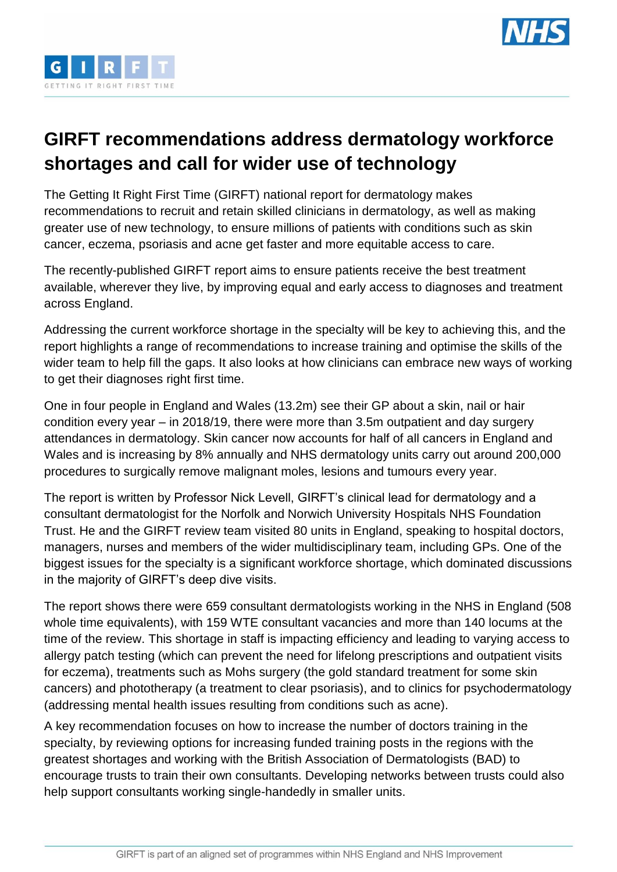



## **GIRFT recommendations address dermatology workforce shortages and call for wider use of technology**

The Getting It Right First Time (GIRFT) national report for dermatology makes recommendations to recruit and retain skilled clinicians in dermatology, as well as making greater use of new technology, to ensure millions of patients with conditions such as skin cancer, eczema, psoriasis and acne get faster and more equitable access to care.

The recently-published GIRFT report aims to ensure patients receive the best treatment available, wherever they live, by improving equal and early access to diagnoses and treatment across England.

Addressing the current workforce shortage in the specialty will be key to achieving this, and the report highlights a range of recommendations to increase training and optimise the skills of the wider team to help fill the gaps. It also looks at how clinicians can embrace new ways of working to get their diagnoses right first time.

One in four people in England and Wales (13.2m) see their GP about a skin, nail or hair condition every year – in 2018/19, there were more than 3.5m outpatient and day surgery attendances in dermatology. Skin cancer now accounts for half of all cancers in England and Wales and is increasing by 8% annually and NHS dermatology units carry out around 200,000 procedures to surgically remove malignant moles, lesions and tumours every year.

The report is written by Professor Nick Levell, GIRFT's clinical lead for dermatology and a consultant dermatologist for the Norfolk and Norwich University Hospitals NHS Foundation Trust. He and the GIRFT review team visited 80 units in England, speaking to hospital doctors, managers, nurses and members of the wider multidisciplinary team, including GPs. One of the biggest issues for the specialty is a significant workforce shortage, which dominated discussions in the majority of GIRFT's deep dive visits.

The report shows there were 659 consultant dermatologists working in the NHS in England (508 whole time equivalents), with 159 WTE consultant vacancies and more than 140 locums at the time of the review. This shortage in staff is impacting efficiency and leading to varying access to allergy patch testing (which can prevent the need for lifelong prescriptions and outpatient visits for eczema), treatments such as Mohs surgery (the gold standard treatment for some skin cancers) and phototherapy (a treatment to clear psoriasis), and to clinics for psychodermatology (addressing mental health issues resulting from conditions such as acne).

A key recommendation focuses on how to increase the number of doctors training in the specialty, by reviewing options for increasing funded training posts in the regions with the greatest shortages and working with the British Association of Dermatologists (BAD) to encourage trusts to train their own consultants. Developing networks between trusts could also help support consultants working single-handedly in smaller units.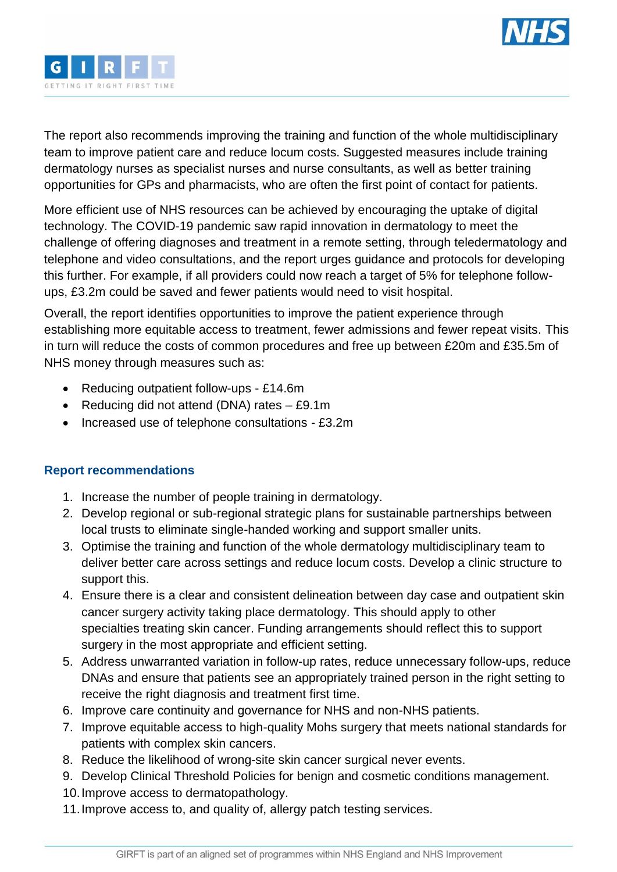



The report also recommends improving the training and function of the whole multidisciplinary team to improve patient care and reduce locum costs. Suggested measures include training dermatology nurses as specialist nurses and nurse consultants, as well as better training opportunities for GPs and pharmacists, who are often the first point of contact for patients.

More efficient use of NHS resources can be achieved by encouraging the uptake of digital technology. The COVID-19 pandemic saw rapid innovation in dermatology to meet the challenge of offering diagnoses and treatment in a remote setting, through teledermatology and telephone and video consultations, and the report urges guidance and protocols for developing this further. For example, if all providers could now reach a target of 5% for telephone followups, £3.2m could be saved and fewer patients would need to visit hospital.

Overall, the report identifies opportunities to improve the patient experience through establishing more equitable access to treatment, fewer admissions and fewer repeat visits. This in turn will reduce the costs of common procedures and free up between £20m and £35.5m of NHS money through measures such as:

- Reducing outpatient follow-ups £14.6m
- Reducing did not attend (DNA) rates  $-$  £9.1m
- Increased use of telephone consultations £3.2m

## **Report recommendations**

- 1. Increase the number of people training in dermatology.
- 2. Develop regional or sub-regional strategic plans for sustainable partnerships between local trusts to eliminate single-handed working and support smaller units.
- 3. Optimise the training and function of the whole dermatology multidisciplinary team to deliver better care across settings and reduce locum costs. Develop a clinic structure to support this.
- 4. Ensure there is a clear and consistent delineation between day case and outpatient skin cancer surgery activity taking place dermatology. This should apply to other specialties treating skin cancer. Funding arrangements should reflect this to support surgery in the most appropriate and efficient setting.
- 5. Address unwarranted variation in follow-up rates, reduce unnecessary follow-ups, reduce DNAs and ensure that patients see an appropriately trained person in the right setting to receive the right diagnosis and treatment first time.
- 6. Improve care continuity and governance for NHS and non-NHS patients.
- 7. Improve equitable access to high-quality Mohs surgery that meets national standards for patients with complex skin cancers.
- 8. Reduce the likelihood of wrong-site skin cancer surgical never events.
- 9. Develop Clinical Threshold Policies for benign and cosmetic conditions management.
- 10.Improve access to dermatopathology.
- 11.Improve access to, and quality of, allergy patch testing services.